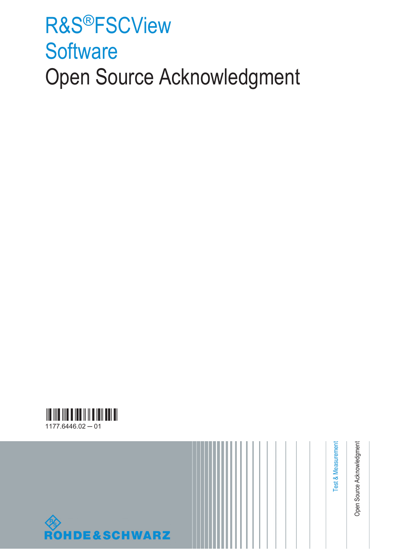# R&S®FSCView **Software** Open Source Acknowledgment





Open Source Acknowledgment Open Source Acknowledgment

Test & Measurement

Test & Measurement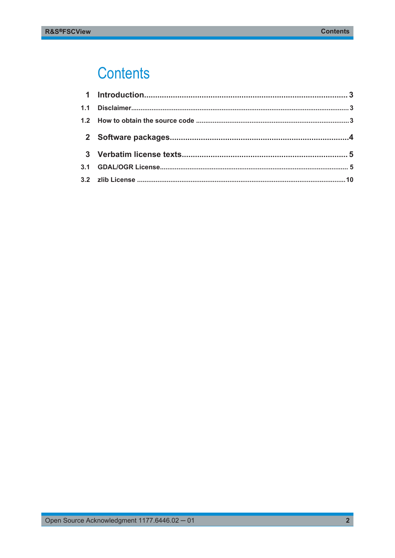## **Contents**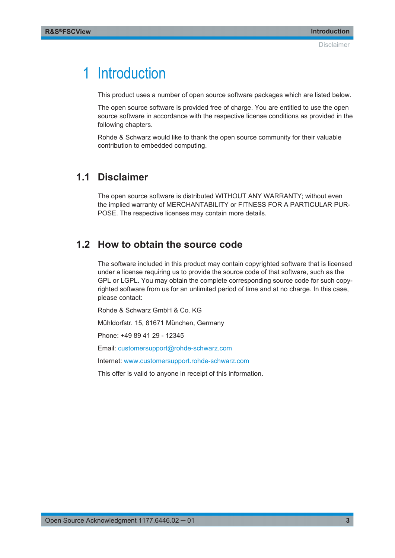## <span id="page-2-0"></span>1 Introduction

This product uses a number of open source software packages which are listed below.

The open source software is provided free of charge. You are entitled to use the open source software in accordance with the respective license conditions as provided in the following chapters.

Rohde & Schwarz would like to thank the open source community for their valuable contribution to embedded computing.

### **1.1 Disclaimer**

The open source software is distributed WITHOUT ANY WARRANTY; without even the implied warranty of MERCHANTABILITY or FITNESS FOR A PARTICULAR PUR-POSE. The respective licenses may contain more details.

### **1.2 How to obtain the source code**

The software included in this product may contain copyrighted software that is licensed under a license requiring us to provide the source code of that software, such as the GPL or LGPL. You may obtain the complete corresponding source code for such copyrighted software from us for an unlimited period of time and at no charge. In this case, please contact:

Rohde & Schwarz GmbH & Co. KG

Mühldorfstr. 15, 81671 München, Germany

Phone: +49 89 41 29 - 12345

Email: [customersupport@rohde-schwarz.com](mailto:customersupport@rohde-schwarz.com)

Internet: [www.customersupport.rohde-schwarz.com](http://www.customersupport.rohde-schwarz.com)

This offer is valid to anyone in receipt of this information.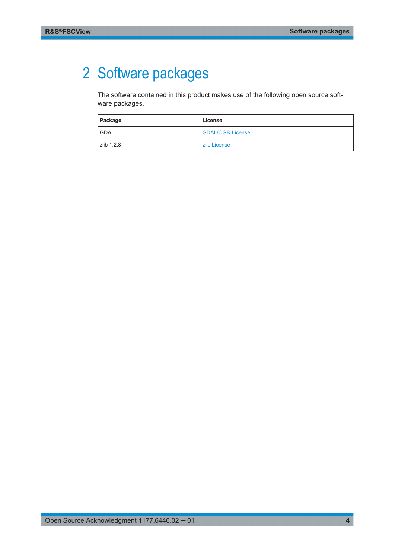## <span id="page-3-0"></span>2 Software packages

The software contained in this product makes use of the following open source software packages.

| Package     | License                 |
|-------------|-------------------------|
| <b>GDAL</b> | <b>GDAL/OGR License</b> |
| zlib 1.2.8  | zlib License            |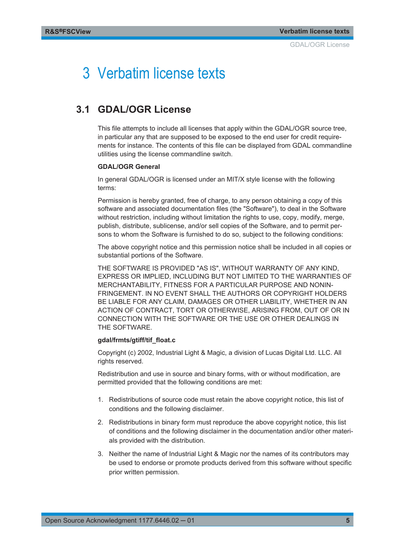## <span id="page-4-0"></span>3 Verbatim license texts

### **3.1 GDAL/OGR License**

This file attempts to include all licenses that apply within the GDAL/OGR source tree, in particular any that are supposed to be exposed to the end user for credit requirements for instance. The contents of this file can be displayed from GDAL commandline utilities using the license commandline switch.

#### **GDAL/OGR General**

In general GDAL/OGR is licensed under an MIT/X style license with the following terms:

Permission is hereby granted, free of charge, to any person obtaining a copy of this software and associated documentation files (the "Software"), to deal in the Software without restriction, including without limitation the rights to use, copy, modify, merge, publish, distribute, sublicense, and/or sell copies of the Software, and to permit persons to whom the Software is furnished to do so, subject to the following conditions:

The above copyright notice and this permission notice shall be included in all copies or substantial portions of the Software.

THE SOFTWARE IS PROVIDED "AS IS", WITHOUT WARRANTY OF ANY KIND, EXPRESS OR IMPLIED, INCLUDING BUT NOT LIMITED TO THE WARRANTIES OF MERCHANTABILITY, FITNESS FOR A PARTICULAR PURPOSE AND NONIN-FRINGEMENT. IN NO EVENT SHALL THE AUTHORS OR COPYRIGHT HOLDERS BE LIABLE FOR ANY CLAIM, DAMAGES OR OTHER LIABILITY, WHETHER IN AN ACTION OF CONTRACT, TORT OR OTHERWISE, ARISING FROM, OUT OF OR IN CONNECTION WITH THE SOFTWARE OR THE USE OR OTHER DEALINGS IN THE SOFTWARE.

#### **gdal/frmts/gtiff/tif\_float.c**

Copyright (c) 2002, Industrial Light & Magic, a division of Lucas Digital Ltd. LLC. All rights reserved.

Redistribution and use in source and binary forms, with or without modification, are permitted provided that the following conditions are met:

- 1. Redistributions of source code must retain the above copyright notice, this list of conditions and the following disclaimer.
- 2. Redistributions in binary form must reproduce the above copyright notice, this list of conditions and the following disclaimer in the documentation and/or other materials provided with the distribution.
- 3. Neither the name of Industrial Light & Magic nor the names of its contributors may be used to endorse or promote products derived from this software without specific prior written permission.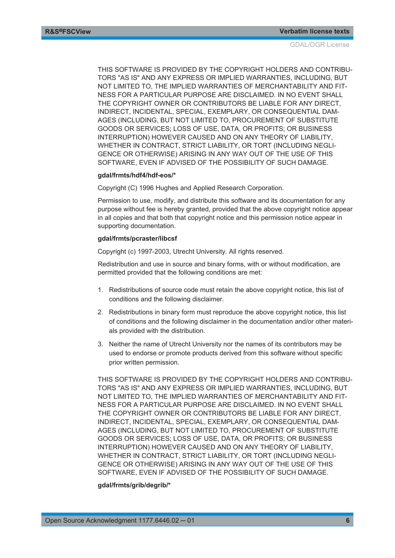THIS SOFTWARE IS PROVIDED BY THE COPYRIGHT HOLDERS AND CONTRIBU-TORS "AS IS" AND ANY EXPRESS OR IMPLIED WARRANTIES, INCLUDING, BUT NOT LIMITED TO, THE IMPLIED WARRANTIES OF MERCHANTABILITY AND FIT-NESS FOR A PARTICULAR PURPOSE ARE DISCLAIMED. IN NO EVENT SHALL THE COPYRIGHT OWNER OR CONTRIBUTORS BE LIABLE FOR ANY DIRECT, INDIRECT, INCIDENTAL, SPECIAL, EXEMPLARY, OR CONSEQUENTIAL DAM-AGES (INCLUDING, BUT NOT LIMITED TO, PROCUREMENT OF SUBSTITUTE GOODS OR SERVICES; LOSS OF USE, DATA, OR PROFITS; OR BUSINESS INTERRUPTION) HOWEVER CAUSED AND ON ANY THEORY OF LIABILITY, WHETHER IN CONTRACT, STRICT LIABILITY, OR TORT (INCLUDING NEGLI-GENCE OR OTHERWISE) ARISING IN ANY WAY OUT OF THE USE OF THIS SOFTWARE, EVEN IF ADVISED OF THE POSSIBILITY OF SUCH DAMAGE.

#### **gdal/frmts/hdf4/hdf-eos/\***

Copyright (C) 1996 Hughes and Applied Research Corporation.

Permission to use, modify, and distribute this software and its documentation for any purpose without fee is hereby granted, provided that the above copyright notice appear in all copies and that both that copyright notice and this permission notice appear in supporting documentation.

#### **gdal/frmts/pcraster/libcsf**

Copyright (c) 1997-2003, Utrecht University. All rights reserved.

Redistribution and use in source and binary forms, with or without modification, are permitted provided that the following conditions are met:

- 1. Redistributions of source code must retain the above copyright notice, this list of conditions and the following disclaimer.
- 2. Redistributions in binary form must reproduce the above copyright notice, this list of conditions and the following disclaimer in the documentation and/or other materials provided with the distribution.
- 3. Neither the name of Utrecht University nor the names of its contributors may be used to endorse or promote products derived from this software without specific prior written permission.

THIS SOFTWARE IS PROVIDED BY THE COPYRIGHT HOLDERS AND CONTRIBU-TORS "AS IS" AND ANY EXPRESS OR IMPLIED WARRANTIES, INCLUDING, BUT NOT LIMITED TO, THE IMPLIED WARRANTIES OF MERCHANTABILITY AND FIT-NESS FOR A PARTICULAR PURPOSE ARE DISCLAIMED. IN NO EVENT SHALL THE COPYRIGHT OWNER OR CONTRIBUTORS BE LIABLE FOR ANY DIRECT, INDIRECT, INCIDENTAL, SPECIAL, EXEMPLARY, OR CONSEQUENTIAL DAM-AGES (INCLUDING, BUT NOT LIMITED TO, PROCUREMENT OF SUBSTITUTE GOODS OR SERVICES; LOSS OF USE, DATA, OR PROFITS; OR BUSINESS INTERRUPTION) HOWEVER CAUSED AND ON ANY THEORY OF LIABILITY, WHETHER IN CONTRACT, STRICT LIABILITY, OR TORT (INCLUDING NEGLI-GENCE OR OTHERWISE) ARISING IN ANY WAY OUT OF THE USE OF THIS SOFTWARE, EVEN IF ADVISED OF THE POSSIBILITY OF SUCH DAMAGE.

#### **gdal/frmts/grib/degrib/\***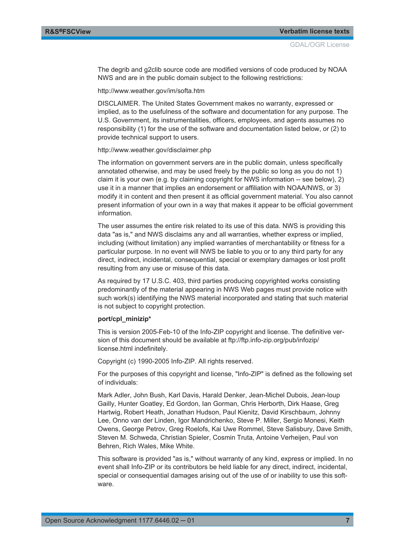The degrib and g2clib source code are modified versions of code produced by NOAA NWS and are in the public domain subject to the following restrictions:

http://www.weather.gov/im/softa.htm

DISCLAIMER. The United States Government makes no warranty, expressed or implied, as to the usefulness of the software and documentation for any purpose. The U.S. Government, its instrumentalities, officers, employees, and agents assumes no responsibility (1) for the use of the software and documentation listed below, or (2) to provide technical support to users.

http://www.weather.gov/disclaimer.php

The information on government servers are in the public domain, unless specifically annotated otherwise, and may be used freely by the public so long as you do not 1) claim it is your own (e.g. by claiming copyright for NWS information -- see below), 2) use it in a manner that implies an endorsement or affiliation with NOAA/NWS, or 3) modify it in content and then present it as official government material. You also cannot present information of your own in a way that makes it appear to be official government information.

The user assumes the entire risk related to its use of this data. NWS is providing this data "as is," and NWS disclaims any and all warranties, whether express or implied, including (without limitation) any implied warranties of merchantability or fitness for a particular purpose. In no event will NWS be liable to you or to any third party for any direct, indirect, incidental, consequential, special or exemplary damages or lost profit resulting from any use or misuse of this data.

As required by 17 U.S.C. 403, third parties producing copyrighted works consisting predominantly of the material appearing in NWS Web pages must provide notice with such work(s) identifying the NWS material incorporated and stating that such material is not subject to copyright protection.

#### **port/cpl\_minizip\***

This is version 2005-Feb-10 of the Info-ZIP copyright and license. The definitive version of this document should be available at ftp://ftp.info-zip.org/pub/infozip/ license.html indefinitely.

Copyright (c) 1990-2005 Info-ZIP. All rights reserved.

For the purposes of this copyright and license, "Info-ZIP" is defined as the following set of individuals:

Mark Adler, John Bush, Karl Davis, Harald Denker, Jean-Michel Dubois, Jean-loup Gailly, Hunter Goatley, Ed Gordon, Ian Gorman, Chris Herborth, Dirk Haase, Greg Hartwig, Robert Heath, Jonathan Hudson, Paul Kienitz, David Kirschbaum, Johnny Lee, Onno van der Linden, Igor Mandrichenko, Steve P. Miller, Sergio Monesi, Keith Owens, George Petrov, Greg Roelofs, Kai Uwe Rommel, Steve Salisbury, Dave Smith, Steven M. Schweda, Christian Spieler, Cosmin Truta, Antoine Verheijen, Paul von Behren, Rich Wales, Mike White.

This software is provided "as is," without warranty of any kind, express or implied. In no event shall Info-ZIP or its contributors be held liable for any direct, indirect, incidental, special or consequential damages arising out of the use of or inability to use this software.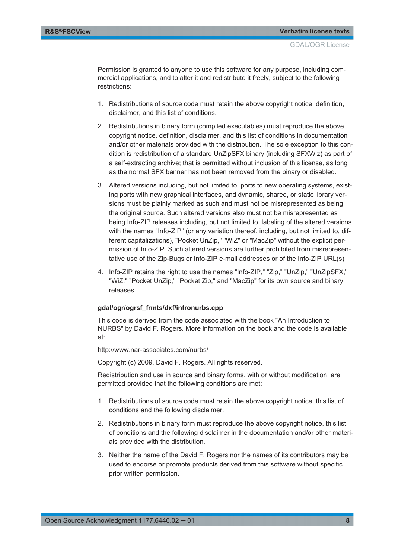Permission is granted to anyone to use this software for any purpose, including commercial applications, and to alter it and redistribute it freely, subject to the following restrictions:

- 1. Redistributions of source code must retain the above copyright notice, definition, disclaimer, and this list of conditions.
- 2. Redistributions in binary form (compiled executables) must reproduce the above copyright notice, definition, disclaimer, and this list of conditions in documentation and/or other materials provided with the distribution. The sole exception to this condition is redistribution of a standard UnZipSFX binary (including SFXWiz) as part of a self-extracting archive; that is permitted without inclusion of this license, as long as the normal SFX banner has not been removed from the binary or disabled.
- 3. Altered versions including, but not limited to, ports to new operating systems, existing ports with new graphical interfaces, and dynamic, shared, or static library versions must be plainly marked as such and must not be misrepresented as being the original source. Such altered versions also must not be misrepresented as being Info-ZIP releases including, but not limited to, labeling of the altered versions with the names "Info-ZIP" (or any variation thereof, including, but not limited to, different capitalizations), "Pocket UnZip," "WiZ" or "MacZip" without the explicit permission of Info-ZIP. Such altered versions are further prohibited from misrepresentative use of the Zip-Bugs or Info-ZIP e-mail addresses or of the Info-ZIP URL(s).
- 4. Info-ZIP retains the right to use the names "Info-ZIP," "Zip," "UnZip," "UnZipSFX," "WiZ," "Pocket UnZip," "Pocket Zip," and "MacZip" for its own source and binary releases.

#### **gdal/ogr/ogrsf\_frmts/dxf/intronurbs.cpp**

This code is derived from the code associated with the book "An Introduction to NURBS" by David F. Rogers. More information on the book and the code is available at:

http://www.nar-associates.com/nurbs/

Copyright (c) 2009, David F. Rogers. All rights reserved.

Redistribution and use in source and binary forms, with or without modification, are permitted provided that the following conditions are met:

- 1. Redistributions of source code must retain the above copyright notice, this list of conditions and the following disclaimer.
- 2. Redistributions in binary form must reproduce the above copyright notice, this list of conditions and the following disclaimer in the documentation and/or other materials provided with the distribution.
- 3. Neither the name of the David F. Rogers nor the names of its contributors may be used to endorse or promote products derived from this software without specific prior written permission.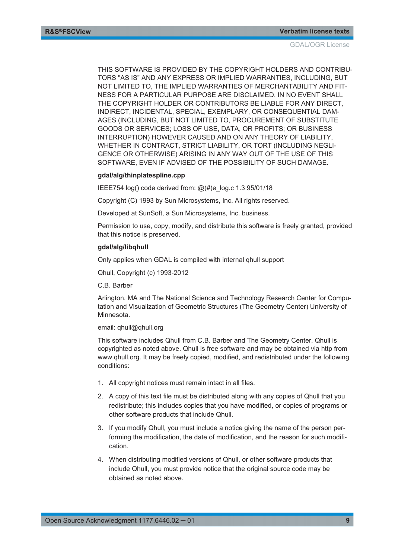THIS SOFTWARE IS PROVIDED BY THE COPYRIGHT HOLDERS AND CONTRIBU-TORS "AS IS" AND ANY EXPRESS OR IMPLIED WARRANTIES, INCLUDING, BUT NOT LIMITED TO, THE IMPLIED WARRANTIES OF MERCHANTABILITY AND FIT-NESS FOR A PARTICULAR PURPOSE ARE DISCLAIMED. IN NO EVENT SHALL THE COPYRIGHT HOLDER OR CONTRIBUTORS BE LIABLE FOR ANY DIRECT, INDIRECT, INCIDENTAL, SPECIAL, EXEMPLARY, OR CONSEQUENTIAL DAM-AGES (INCLUDING, BUT NOT LIMITED TO, PROCUREMENT OF SUBSTITUTE GOODS OR SERVICES; LOSS OF USE, DATA, OR PROFITS; OR BUSINESS INTERRUPTION) HOWEVER CAUSED AND ON ANY THEORY OF LIABILITY, WHETHER IN CONTRACT, STRICT LIABILITY, OR TORT (INCLUDING NEGLI-GENCE OR OTHERWISE) ARISING IN ANY WAY OUT OF THE USE OF THIS SOFTWARE, EVEN IF ADVISED OF THE POSSIBILITY OF SUCH DAMAGE.

#### **gdal/alg/thinplatespline.cpp**

IEEE754 log() code derived from: @(#)e\_log.c 1.3 95/01/18

Copyright (C) 1993 by Sun Microsystems, Inc. All rights reserved.

Developed at SunSoft, a Sun Microsystems, Inc. business.

Permission to use, copy, modify, and distribute this software is freely granted, provided that this notice is preserved.

#### **gdal/alg/libqhull**

Only applies when GDAL is compiled with internal qhull support

Qhull, Copyright (c) 1993-2012

C.B. Barber

Arlington, MA and The National Science and Technology Research Center for Computation and Visualization of Geometric Structures (The Geometry Center) University of Minnesota.

#### email: qhull@qhull.org

This software includes Qhull from C.B. Barber and The Geometry Center. Qhull is copyrighted as noted above. Qhull is free software and may be obtained via http from www.qhull.org. It may be freely copied, modified, and redistributed under the following conditions:

- 1. All copyright notices must remain intact in all files.
- 2. A copy of this text file must be distributed along with any copies of Qhull that you redistribute; this includes copies that you have modified, or copies of programs or other software products that include Qhull.
- 3. If you modify Qhull, you must include a notice giving the name of the person performing the modification, the date of modification, and the reason for such modification.
- 4. When distributing modified versions of Qhull, or other software products that include Qhull, you must provide notice that the original source code may be obtained as noted above.